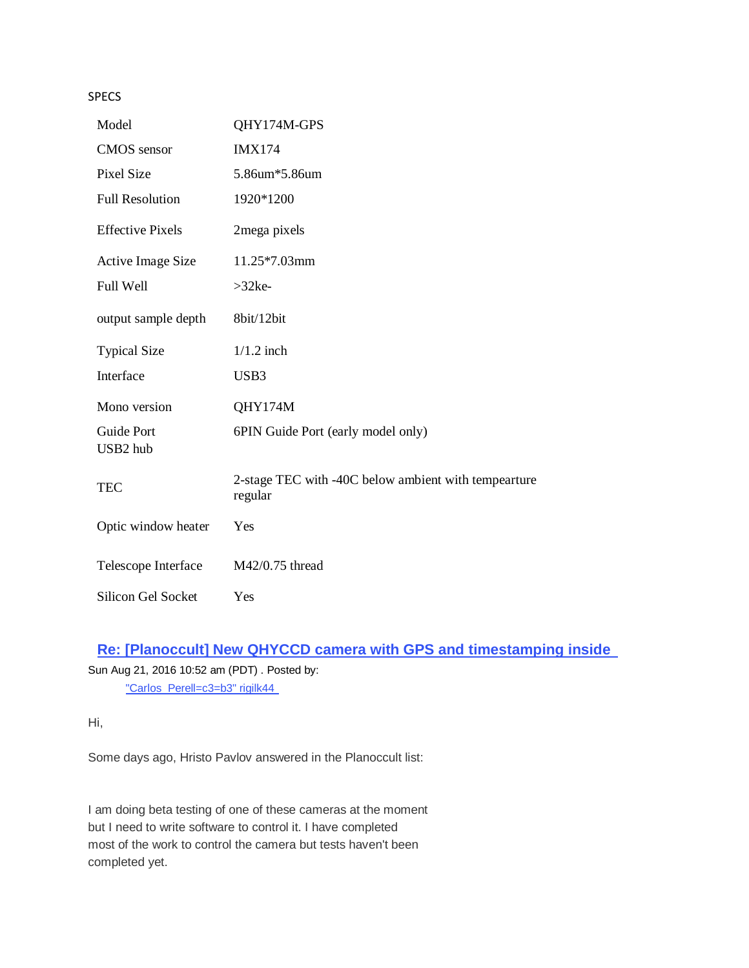**SPECS** 

| Model                         | QHY174M-GPS                                                     |
|-------------------------------|-----------------------------------------------------------------|
| <b>CMOS</b> sensor            | <b>IMX174</b>                                                   |
| <b>Pixel Size</b>             | 5.86um*5.86um                                                   |
| <b>Full Resolution</b>        | 1920*1200                                                       |
| <b>Effective Pixels</b>       | 2mega pixels                                                    |
| <b>Active Image Size</b>      | 11.25*7.03mm                                                    |
| Full Well                     | $>32$ ke-                                                       |
| output sample depth           | 8bit/12bit                                                      |
| <b>Typical Size</b>           | $1/1.2$ inch                                                    |
| Interface                     | USB3                                                            |
| Mono version                  | QHY174M                                                         |
| <b>Guide Port</b><br>USB2 hub | 6PIN Guide Port (early model only)                              |
| <b>TEC</b>                    | 2-stage TEC with -40C below ambient with tempearture<br>regular |
| Optic window heater           | Yes                                                             |
| Telescope Interface           | M42/0.75 thread                                                 |
| <b>Silicon Gel Socket</b>     | Yes                                                             |

# **[Re: \[Planoccult\] New QHYCCD camera with GPS and timestamping inside](https://groups.yahoo.com/neo/groups/IOTAoccultations/conversations/topics/60306;_ylc=X3oDMTJycTc4MnUyBF9TAzk3MzU5NzE1BGdycElkAzE4NDc2NzAEZ3Jwc3BJZAMxNzA1MTgxNzY5BG1zZ0lkAzYwMzA2BHNlYwNkbXNnBHNsawN2bXNnBHN0aW1lAzE0NzE4NTc1NzQ-)**

Sun Aug 21, 2016 10:52 am (PDT) . Posted by: ["Carlos\\_Perell=c3=b3" rigilk44](mailto:rigilk44@yahoo.es?subject=Re%3A%20%5BPlanoccult%5D%20New%20QHYCCD%20camera%20with%20GPS%20and%20timestamping%20inside%20) 

Hi,

Some days ago, Hristo Pavlov answered in the Planoccult list:

I am doing beta testing of one of these cameras at the moment but I need to write software to control it. I have completed most of the work to control the camera but tests haven't been completed yet.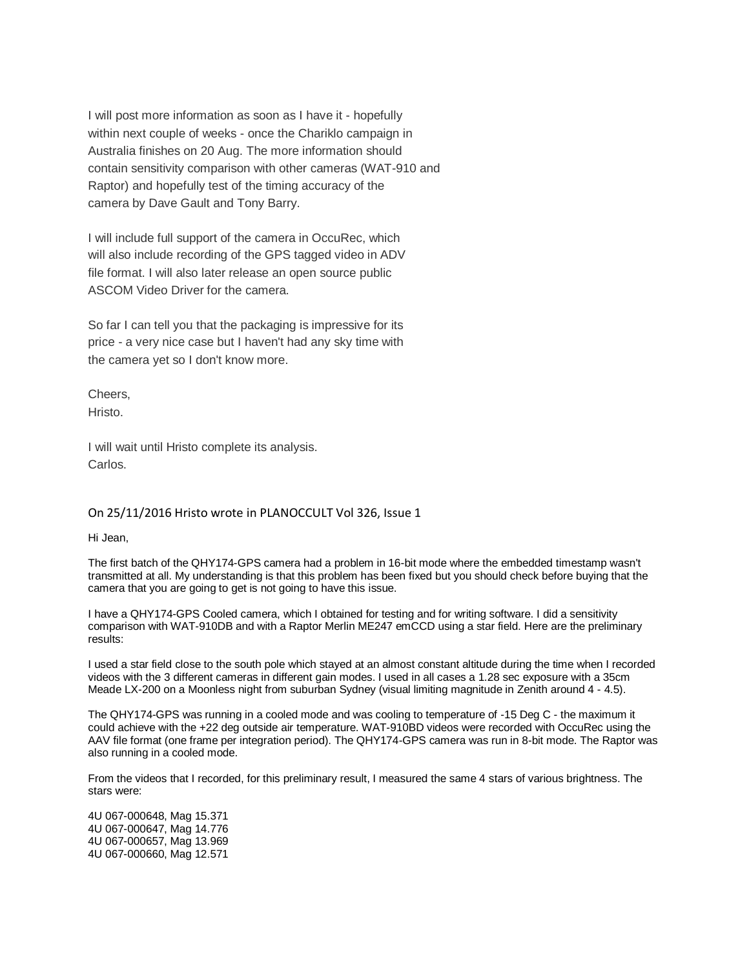I will post more information as soon as I have it - hopefully within next couple of weeks - once the Chariklo campaign in Australia finishes on 20 Aug. The more information should contain sensitivity comparison with other cameras (WAT-910 and Raptor) and hopefully test of the timing accuracy of the camera by Dave Gault and Tony Barry.

I will include full support of the camera in OccuRec, which will also include recording of the GPS tagged video in ADV file format. I will also later release an open source public ASCOM Video Driver for the camera.

So far I can tell you that the packaging is impressive for its price - a very nice case but I haven't had any sky time with the camera yet so I don't know more.

Cheers, Hristo.

I will wait until Hristo complete its analysis. Carlos.

#### On 25/11/2016 Hristo wrote in PLANOCCULT Vol 326, Issue 1

Hi Jean,

The first batch of the QHY174-GPS camera had a problem in 16-bit mode where the embedded timestamp wasn't transmitted at all. My understanding is that this problem has been fixed but you should check before buying that the camera that you are going to get is not going to have this issue.

I have a QHY174-GPS Cooled camera, which I obtained for testing and for writing software. I did a sensitivity comparison with WAT-910DB and with a Raptor Merlin ME247 emCCD using a star field. Here are the preliminary results:

I used a star field close to the south pole which stayed at an almost constant altitude during the time when I recorded videos with the 3 different cameras in different gain modes. I used in all cases a 1.28 sec exposure with a 35cm Meade LX-200 on a Moonless night from suburban Sydney (visual limiting magnitude in Zenith around 4 - 4.5).

The QHY174-GPS was running in a cooled mode and was cooling to temperature of -15 Deg C - the maximum it could achieve with the +22 deg outside air temperature. WAT-910BD videos were recorded with OccuRec using the AAV file format (one frame per integration period). The QHY174-GPS camera was run in 8-bit mode. The Raptor was also running in a cooled mode.

From the videos that I recorded, for this preliminary result, I measured the same 4 stars of various brightness. The stars were:

4U 067-000648, Mag 15.371 4U 067-000647, Mag 14.776 4U 067-000657, Mag 13.969 4U 067-000660, Mag 12.571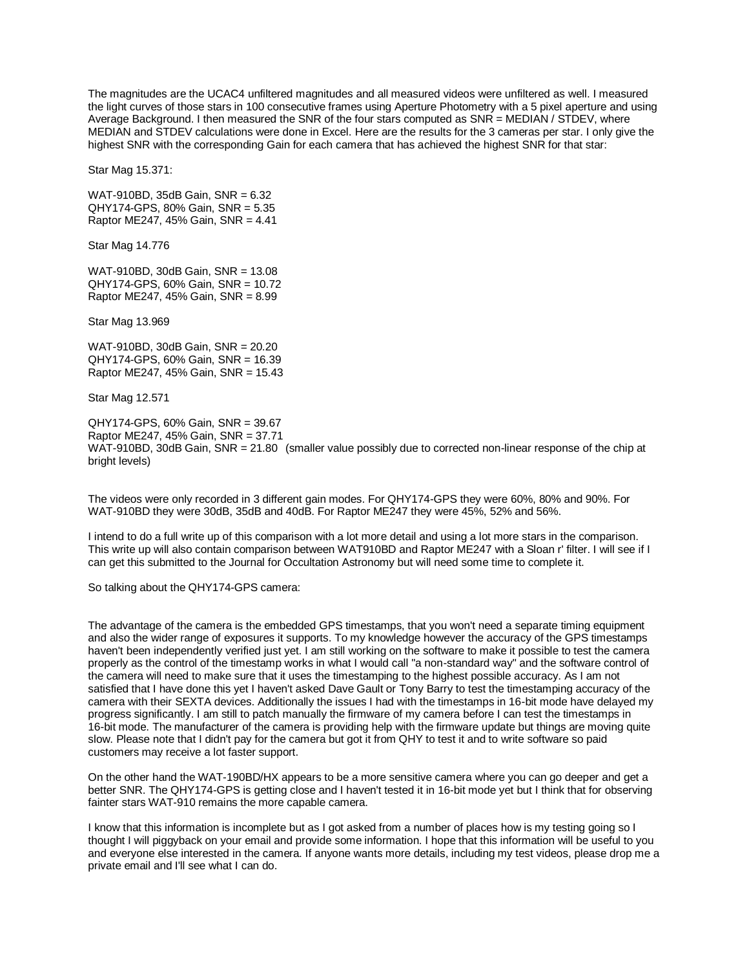The magnitudes are the UCAC4 unfiltered magnitudes and all measured videos were unfiltered as well. I measured the light curves of those stars in 100 consecutive frames using Aperture Photometry with a 5 pixel aperture and using Average Background. I then measured the SNR of the four stars computed as SNR = MEDIAN / STDEV, where MEDIAN and STDEV calculations were done in Excel. Here are the results for the 3 cameras per star. I only give the highest SNR with the corresponding Gain for each camera that has achieved the highest SNR for that star:

Star Mag 15.371:

WAT-910BD, 35dB Gain, SNR = 6.32 QHY174-GPS, 80% Gain, SNR = 5.35 Raptor ME247, 45% Gain, SNR = 4.41

Star Mag 14.776

WAT-910BD, 30dB Gain, SNR = 13.08 QHY174-GPS, 60% Gain, SNR = 10.72 Raptor ME247, 45% Gain, SNR = 8.99

Star Mag 13.969

WAT-910BD, 30dB Gain, SNR = 20.20 QHY174-GPS, 60% Gain, SNR = 16.39 Raptor ME247, 45% Gain, SNR = 15.43

Star Mag 12.571

QHY174-GPS, 60% Gain, SNR = 39.67 Raptor ME247, 45% Gain, SNR = 37.71 WAT-910BD, 30dB Gain, SNR = 21.80 (smaller value possibly due to corrected non-linear response of the chip at bright levels)

The videos were only recorded in 3 different gain modes. For QHY174-GPS they were 60%, 80% and 90%. For WAT-910BD they were 30dB, 35dB and 40dB. For Raptor ME247 they were 45%, 52% and 56%.

I intend to do a full write up of this comparison with a lot more detail and using a lot more stars in the comparison. This write up will also contain comparison between WAT910BD and Raptor ME247 with a Sloan r' filter. I will see if I can get this submitted to the Journal for Occultation Astronomy but will need some time to complete it.

So talking about the QHY174-GPS camera:

The advantage of the camera is the embedded GPS timestamps, that you won't need a separate timing equipment and also the wider range of exposures it supports. To my knowledge however the accuracy of the GPS timestamps haven't been independently verified just yet. I am still working on the software to make it possible to test the camera properly as the control of the timestamp works in what I would call "a non-standard way" and the software control of the camera will need to make sure that it uses the timestamping to the highest possible accuracy. As I am not satisfied that I have done this yet I haven't asked Dave Gault or Tony Barry to test the timestamping accuracy of the camera with their SEXTA devices. Additionally the issues I had with the timestamps in 16-bit mode have delayed my progress significantly. I am still to patch manually the firmware of my camera before I can test the timestamps in 16-bit mode. The manufacturer of the camera is providing help with the firmware update but things are moving quite slow. Please note that I didn't pay for the camera but got it from QHY to test it and to write software so paid customers may receive a lot faster support.

On the other hand the WAT-190BD/HX appears to be a more sensitive camera where you can go deeper and get a better SNR. The QHY174-GPS is getting close and I haven't tested it in 16-bit mode yet but I think that for observing fainter stars WAT-910 remains the more capable camera.

I know that this information is incomplete but as I got asked from a number of places how is my testing going so I thought I will piggyback on your email and provide some information. I hope that this information will be useful to you and everyone else interested in the camera. If anyone wants more details, including my test videos, please drop me a private email and I'll see what I can do.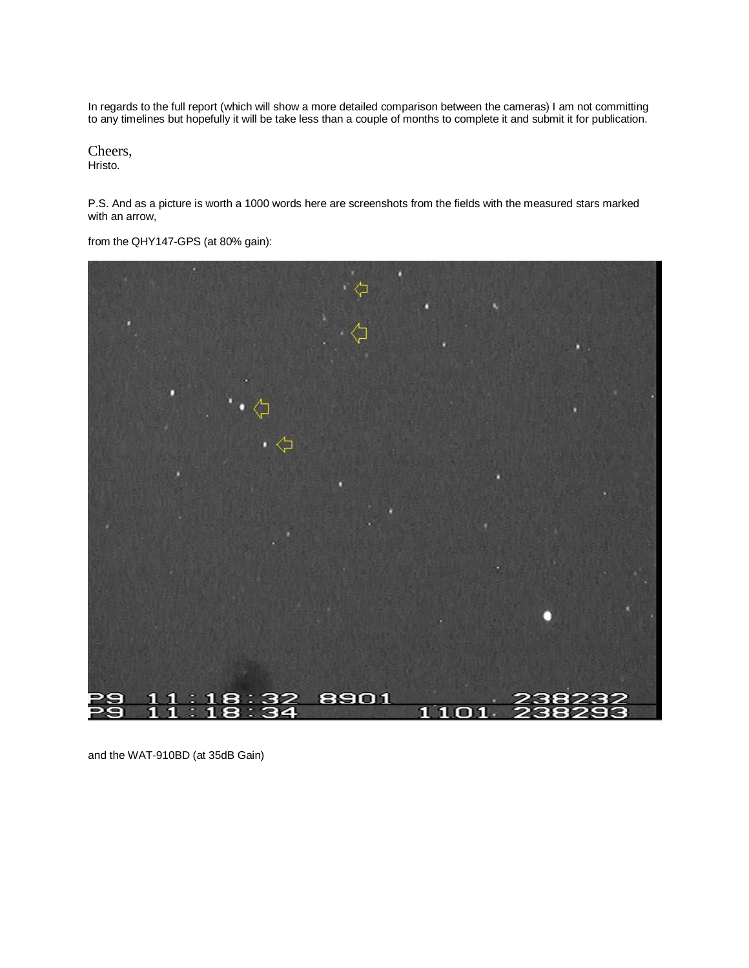In regards to the full report (which will show a more detailed comparison between the cameras) I am not committing to any timelines but hopefully it will be take less than a couple of months to complete it and submit it for publication.

Cheers, Hristo.

P.S. And as a picture is worth a 1000 words here are screenshots from the fields with the measured stars marked with an arrow,

from the QHY147-GPS (at 80% gain):



and the WAT-910BD (at 35dB Gain)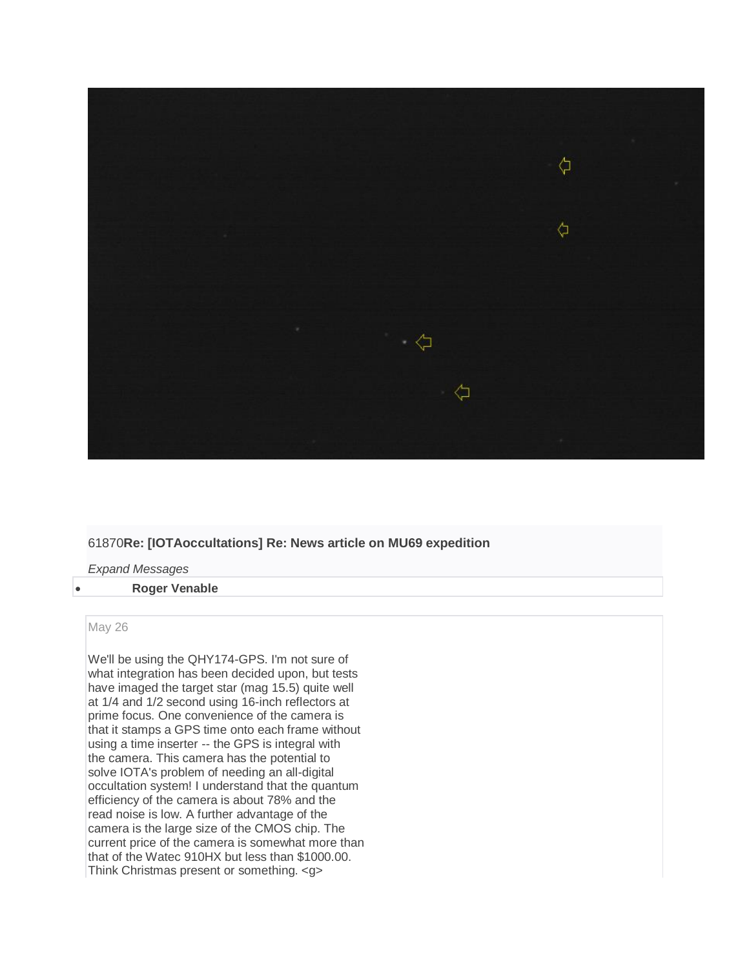

# 61870**Re: [IOTAoccultations] Re: News article on MU69 expedition**

*Expand Messages*

#### **Roger Venable**

#### May 26

We'll be using the QHY174-GPS. I'm not sure of what integration has been decided upon, but tests have imaged the target star (mag 15.5) quite well at 1/4 and 1/2 second using 16-inch reflectors at prime focus. One convenience of the camera is that it stamps a GPS time onto each frame without using a time inserter -- the GPS is integral with the camera. This camera has the potential to solve IOTA's problem of needing an all-digital occultation system! I understand that the quantum efficiency of the camera is about 78% and the read noise is low. A further advantage of the camera is the large size of the CMOS chip. The current price of the camera is somewhat more than that of the Watec 910HX but less than \$1000.00. Think Christmas present or something. <g>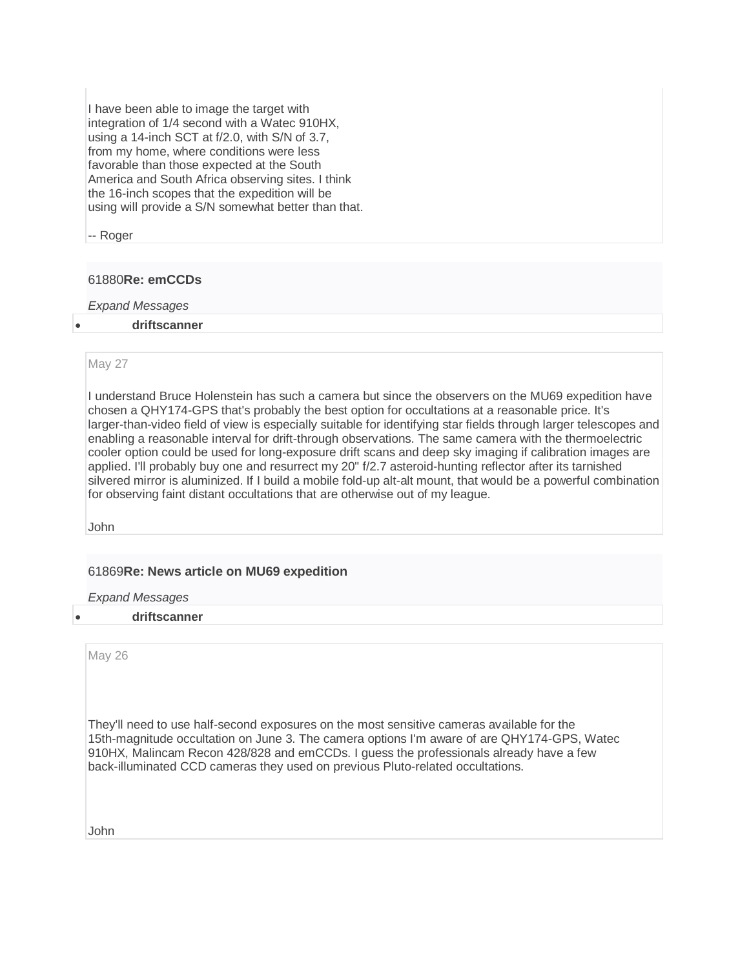I have been able to image the target with integration of 1/4 second with a Watec 910HX, using a 14-inch SCT at f/2.0, with S/N of 3.7, from my home, where conditions were less favorable than those expected at the South America and South Africa observing sites. I think the 16-inch scopes that the expedition will be using will provide a S/N somewhat better than that.

-- Roger

# 61880**Re: emCCDs**

*Expand Messages*

## **driftscanner**

## May 27

I understand Bruce Holenstein has such a camera but since the observers on the MU69 expedition have chosen a QHY174-GPS that's probably the best option for occultations at a reasonable price. It's larger-than-video field of view is especially suitable for identifying star fields through larger telescopes and enabling a reasonable interval for drift-through observations. The same camera with the thermoelectric cooler option could be used for long-exposure drift scans and deep sky imaging if calibration images are applied. I'll probably buy one and resurrect my 20" f/2.7 asteroid-hunting reflector after its tarnished silvered mirror is aluminized. If I build a mobile fold-up alt-alt mount, that would be a powerful combination for observing faint distant occultations that are otherwise out of my league.

John

# 61869**Re: News article on MU69 expedition**

*Expand Messages*

**driftscanner**

May 26

They'll need to use half-second exposures on the most sensitive cameras available for the 15th-magnitude occultation on June 3. The camera options I'm aware of are QHY174-GPS, Watec 910HX, Malincam Recon 428/828 and emCCDs. I guess the professionals already have a few back-illuminated CCD cameras they used on previous Pluto-related occultations.

John